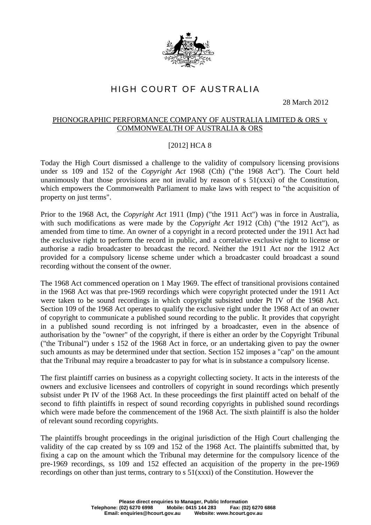

## HIGH COURT OF AUSTRALIA

28 March 2012

## PHONOGRAPHIC PERFORMANCE COMPANY OF AUSTRALIA LIMITED & ORS v COMMONWEALTH OF AUSTRALIA & ORS

## [2012] HCA 8

Today the High Court dismissed a challenge to the validity of compulsory licensing provisions under ss 109 and 152 of the *Copyright Act* 1968 (Cth) ("the 1968 Act"). The Court held unanimously that those provisions are not invalid by reason of  $s$  51(xxxi) of the Constitution, which empowers the Commonwealth Parliament to make laws with respect to "the acquisition of property on just terms".

Prior to the 1968 Act, the *Copyright Act* 1911 (Imp) ("the 1911 Act") was in force in Australia, with such modifications as were made by the *Copyright Act* 1912 (Cth) ("the 1912 Act"), as amended from time to time. An owner of a copyright in a record protected under the 1911 Act had the exclusive right to perform the record in public, and a correlative exclusive right to license or authorise a radio broadcaster to broadcast the record. Neither the 1911 Act nor the 1912 Act provided for a compulsory license scheme under which a broadcaster could broadcast a sound recording without the consent of the owner.

The 1968 Act commenced operation on 1 May 1969. The effect of transitional provisions contained in the 1968 Act was that pre-1969 recordings which were copyright protected under the 1911 Act were taken to be sound recordings in which copyright subsisted under Pt IV of the 1968 Act. Section 109 of the 1968 Act operates to qualify the exclusive right under the 1968 Act of an owner of copyright to communicate a published sound recording to the public. It provides that copyright in a published sound recording is not infringed by a broadcaster, even in the absence of authorisation by the "owner" of the copyright, if there is either an order by the Copyright Tribunal ("the Tribunal") under s 152 of the 1968 Act in force, or an undertaking given to pay the owner such amounts as may be determined under that section. Section 152 imposes a "cap" on the amount that the Tribunal may require a broadcaster to pay for what is in substance a compulsory license.

The first plaintiff carries on business as a copyright collecting society. It acts in the interests of the owners and exclusive licensees and controllers of copyright in sound recordings which presently subsist under Pt IV of the 1968 Act. In these proceedings the first plaintiff acted on behalf of the second to fifth plaintiffs in respect of sound recording copyrights in published sound recordings which were made before the commencement of the 1968 Act. The sixth plaintiff is also the holder of relevant sound recording copyrights.

The plaintiffs brought proceedings in the original jurisdiction of the High Court challenging the validity of the cap created by ss 109 and 152 of the 1968 Act. The plaintiffs submitted that, by fixing a cap on the amount which the Tribunal may determine for the compulsory licence of the pre-1969 recordings, ss 109 and 152 effected an acquisition of the property in the pre-1969 recordings on other than just terms, contrary to s 51(xxxi) of the Constitution. However the